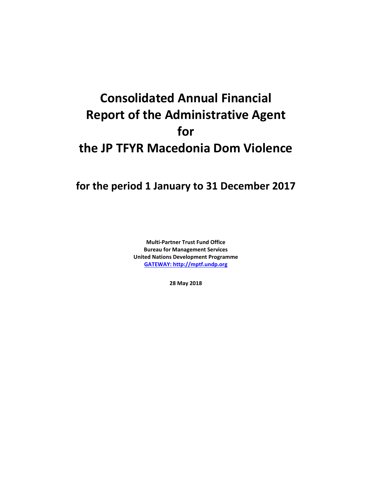# **Consolidated Annual Financial Report of the Administrative Agent for the JP TFYR Macedonia Dom Violence**

## **for the period 1 January to 31 December 2017**

**Multi-Partner Trust Fund Office Bureau for Management Services United Nations Development Programme [GATEWAY: http://mptf.undp.org](http://mptf.undp.org/)**

**28 May 2018**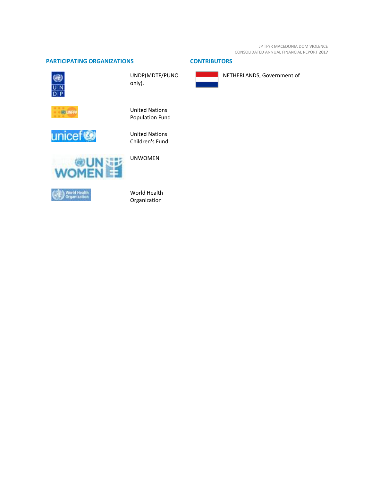JP TFYR MACEDONIA DOM VIOLENCE CONSOLIDATED ANNUAL FINANCIAL REPORT **2017**

### **PARTICIPATING ORGANIZATIONS CONTRIBUTORS**



UNDP(MDTF/PUNO only).





United Nations Population Fund

United Nations Children's Fund



World Health Organization



NETHERLANDS, Government of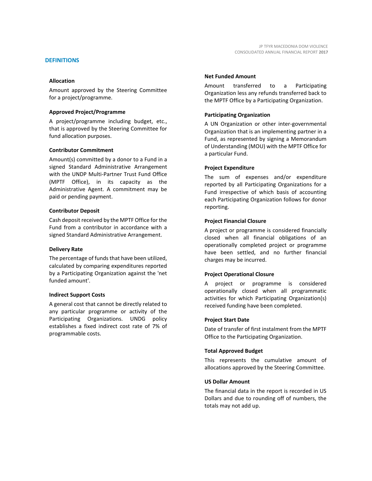#### **DEFINITIONS**

#### **Allocation**

Amount approved by the Steering Committee for a project/programme.

#### **Approved Project/Programme**

A project/programme including budget, etc., that is approved by the Steering Committee for fund allocation purposes.

#### **Contributor Commitment**

Amount(s) committed by a donor to a Fund in a signed Standard Administrative Arrangement with the UNDP Multi-Partner Trust Fund Office (MPTF Office), in its capacity as the Administrative Agent. A commitment may be paid or pending payment.

#### **Contributor Deposit**

Cash deposit received by the MPTF Office for the Fund from a contributor in accordance with a signed Standard Administrative Arrangement.

#### **Delivery Rate**

The percentage of funds that have been utilized, calculated by comparing expenditures reported by a Participating Organization against the 'net funded amount'.

#### **Indirect Support Costs**

A general cost that cannot be directly related to any particular programme or activity of the Participating Organizations. UNDG policy establishes a fixed indirect cost rate of 7% of programmable costs.

#### **Net Funded Amount**

Amount transferred to a Participating Organization less any refunds transferred back to the MPTF Office by a Participating Organization.

#### **Participating Organization**

A UN Organization or other inter-governmental Organization that is an implementing partner in a Fund, as represented by signing a Memorandum of Understanding (MOU) with the MPTF Office for a particular Fund.

#### **Project Expenditure**

The sum of expenses and/or expenditure reported by all Participating Organizations for a Fund irrespective of which basis of accounting each Participating Organization follows for donor reporting.

#### **Project Financial Closure**

A project or programme is considered financially closed when all financial obligations of an operationally completed project or programme have been settled, and no further financial charges may be incurred.

#### **Project Operational Closure**

A project or programme is considered operationally closed when all programmatic activities for which Participating Organization(s) received funding have been completed.

#### **Project Start Date**

Date of transfer of first instalment from the MPTF Office to the Participating Organization.

#### **Total Approved Budget**

This represents the cumulative amount of allocations approved by the Steering Committee.

#### **US Dollar Amount**

The financial data in the report is recorded in US Dollars and due to rounding off of numbers, the totals may not add up.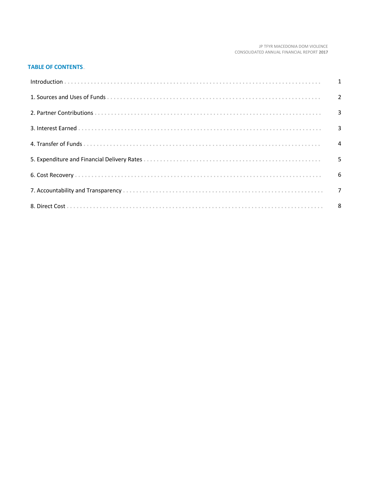#### JP TFYR MACEDONIA DOM VIOLENCE CONSOLIDATED ANNUAL FINANCIAL REPORT 2017

#### **TABLE OF CONTENTS...**

| Introduction 1 1 |   |
|------------------|---|
|                  |   |
|                  |   |
|                  |   |
|                  |   |
|                  | 5 |
|                  |   |
|                  |   |
|                  |   |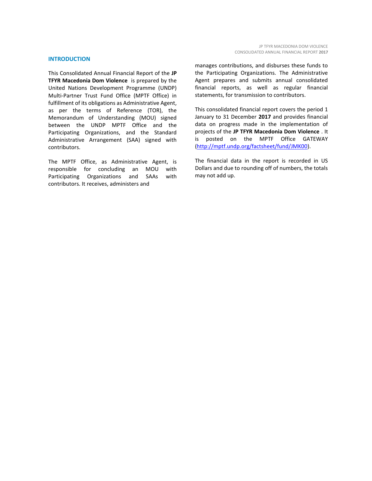#### **INTRODUCTION**

This Consolidated Annual Financial Report of the **JP TFYR Macedonia Dom Violence** is prepared by the United Nations Development Programme (UNDP) Multi-Partner Trust Fund Office (MPTF Office) in fulfillment of its obligations as Administrative Agent, as per the terms of Reference (TOR), the Memorandum of Understanding (MOU) signed between the UNDP MPTF Office and the Participating Organizations, and the Standard Administrative Arrangement (SAA) signed with contributors.

The MPTF Office, as Administrative Agent, is responsible for concluding an MOU with Participating Organizations and SAAs with contributors. It receives, administers and

manages contributions, and disburses these funds to the Participating Organizations. The Administrative Agent prepares and submits annual consolidated financial reports, as well as regular financial statements, for transmission to contributors.

This consolidated financial report covers the period 1 January to 31 December **2017** and provides financial data on progress made in the implementation of projects of the **JP TFYR Macedonia Dom Violence** . It is posted on the MPTF Office GATEWAY [\(http://mptf.undp.org/factsheet/fund/JMK00\)](http://mptf.undp.org/factsheet/fund/JMK00).

The financial data in the report is recorded in US Dollars and due to rounding off of numbers, the totals may not add up.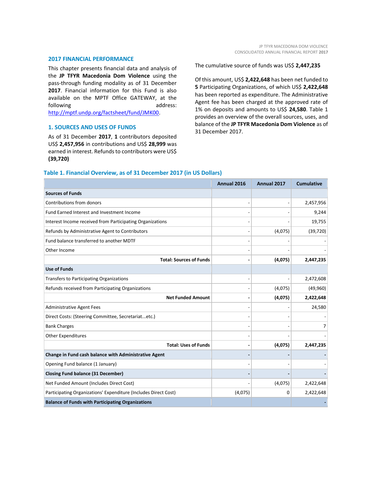#### **2017 FINANCIAL PERFORMANCE**

This chapter presents financial data and analysis of the **JP TFYR Macedonia Dom Violence** using the pass-through funding modality as of 31 December 2017. Financial information for this Fund is also available on the MPTF Office GATEWAY, at the following address: [http://mptf.undp.org/factsheet/fund/JMK00.](http://mptf.undp.org/factsheet/fund/JMK00)

#### **1. SOURCES AND USES OF FUNDS**

As of 31 December **2017**, **1** contributors deposited US\$ **2,457,956** in contributions and US\$ **28,999** was earned in interest. Refunds to contributors were US\$ **(39,720)**

The cumulative source of funds was US\$ **2,447,235**

Of this amount, US\$ **2,422,648** has been net funded to **5** Participating Organizations, of which US\$ **2,422,648** has been reported as expenditure. The Administrative Agent fee has been charged at the approved rate of 1% on deposits and amounts to US\$ **24,580**. Table 1 provides an overview of the overall sources, uses, and balance of the **JP TFYR Macedonia Dom Violence** as of 31 December 2017.

#### **Table 1. Financial Overview, as of 31 December 2017 (in US Dollars)**

|                                                                 | Annual 2016 | Annual 2017    | <b>Cumulative</b> |
|-----------------------------------------------------------------|-------------|----------------|-------------------|
| <b>Sources of Funds</b>                                         |             |                |                   |
| Contributions from donors                                       |             | $\overline{a}$ | 2,457,956         |
| Fund Earned Interest and Investment Income                      |             |                | 9,244             |
| Interest Income received from Participating Organizations       |             |                | 19,755            |
| Refunds by Administrative Agent to Contributors                 |             | (4,075)        | (39, 720)         |
| Fund balance transferred to another MDTF                        |             |                |                   |
| Other Income                                                    |             |                |                   |
| <b>Total: Sources of Funds</b>                                  |             | (4,075)        | 2,447,235         |
| <b>Use of Funds</b>                                             |             |                |                   |
| <b>Transfers to Participating Organizations</b>                 |             |                | 2,472,608         |
| Refunds received from Participating Organizations               |             | (4,075)        | (49,960)          |
| <b>Net Funded Amount</b>                                        |             | (4,075)        | 2,422,648         |
| <b>Administrative Agent Fees</b>                                |             |                | 24,580            |
| Direct Costs: (Steering Committee, Secretariatetc.)             |             |                |                   |
| <b>Bank Charges</b>                                             |             |                | $\overline{7}$    |
| <b>Other Expenditures</b>                                       |             |                |                   |
| <b>Total: Uses of Funds</b>                                     |             | (4,075)        | 2,447,235         |
| Change in Fund cash balance with Administrative Agent           |             |                |                   |
| Opening Fund balance (1 January)                                |             |                |                   |
| <b>Closing Fund balance (31 December)</b>                       |             |                |                   |
| Net Funded Amount (Includes Direct Cost)                        |             | (4,075)        | 2,422,648         |
| Participating Organizations' Expenditure (Includes Direct Cost) | (4,075)     | 0              | 2,422,648         |
| <b>Balance of Funds with Participating Organizations</b>        |             |                |                   |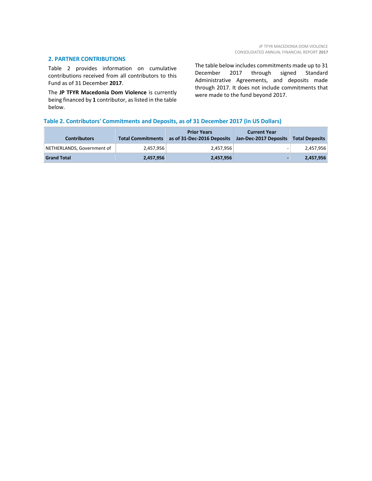#### **2. PARTNER CONTRIBUTIONS**

Table 2 provides information on cumulative contributions received from all contributors to this Fund as of 31 December **2017**.

The **JP TFYR Macedonia Dom Violence** is currently being financed by **1** contributor, as listed in the table below.

The table below includes commitments made up to 31 December 2017 through signed Standard Administrative Agreements, and deposits made through 2017. It does not include commitments that were made to the fund beyond 2017.

#### **Table 2. Contributors' Commitments and Deposits, as of 31 December 2017 (in US Dollars)**

| <b>Contributors</b>        | <b>Total Commitments</b> | <b>Prior Years</b><br>as of 31-Dec-2016 Deposits | <b>Current Year</b><br>Jan-Dec-2017 Deposits | <b>Total Deposits</b> |
|----------------------------|--------------------------|--------------------------------------------------|----------------------------------------------|-----------------------|
| NETHERLANDS, Government of | 2.457.956                | 2.457.956                                        | -                                            | 2,457,956             |
| <b>Grand Total</b>         | 2,457,956                | 2,457,956                                        |                                              | 2,457,956             |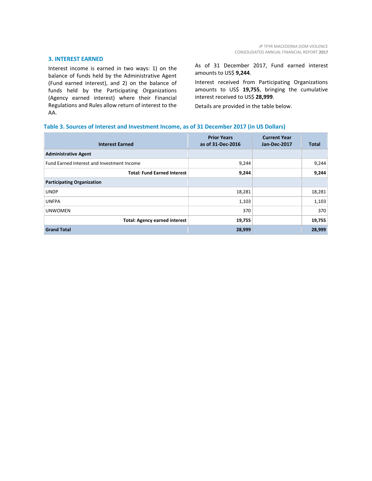#### **3. INTEREST EARNED**

Interest income is earned in two ways: 1) on the balance of funds held by the Administrative Agent (Fund earned interest), and 2) on the balance of funds held by the Participating Organizations (Agency earned interest) where their Financial Regulations and Rules allow return of interest to the AA.

As of 31 December 2017, Fund earned interest amounts to US\$ **9,244**.

Interest received from Participating Organizations amounts to US\$ **19,755**, bringing the cumulative interest received to US\$ **28,999**.

Details are provided in the table below.

#### **Table 3. Sources of Interest and Investment Income, as of 31 December 2017 (in US Dollars)**

| <b>Interest Earned</b>                            | <b>Prior Years</b><br>as of 31-Dec-2016 | <b>Current Year</b><br>Jan-Dec-2017 | Total  |
|---------------------------------------------------|-----------------------------------------|-------------------------------------|--------|
| <b>Administrative Agent</b>                       |                                         |                                     |        |
| <b>Fund Earned Interest and Investment Income</b> | 9,244                                   |                                     | 9,244  |
| <b>Total: Fund Earned Interest</b>                | 9,244                                   |                                     | 9,244  |
| <b>Participating Organization</b>                 |                                         |                                     |        |
| <b>UNDP</b>                                       | 18,281                                  |                                     | 18,281 |
| <b>UNFPA</b>                                      | 1,103                                   |                                     | 1,103  |
| <b>UNWOMEN</b>                                    | 370                                     |                                     | 370    |
| <b>Total: Agency earned interest</b>              | 19,755                                  |                                     | 19,755 |
| <b>Grand Total</b>                                | 28,999                                  |                                     | 28,999 |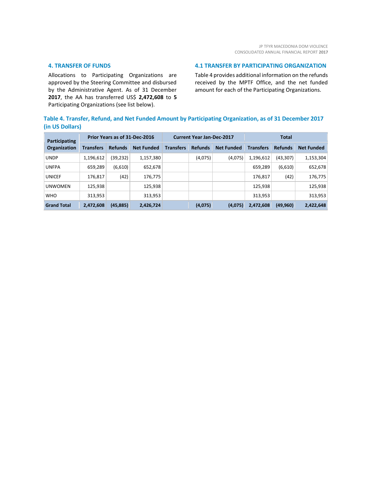#### **4. TRANSFER OF FUNDS**

Allocations to Participating Organizations are approved by the Steering Committee and disbursed by the Administrative Agent. As of 31 December **2017**, the AA has transferred US\$ **2,472,608** to **5** Participating Organizations (see list below).

#### **4.1 TRANSFER BY PARTICIPATING ORGANIZATION**

Table 4 provides additional information on the refunds received by the MPTF Office, and the net funded amount for each of the Participating Organizations.

#### **Table 4. Transfer, Refund, and Net Funded Amount by Participating Organization, as of 31 December 2017 (in US Dollars)**

| Participating<br><b>Organization</b> | Prior Years as of 31-Dec-2016 |                |                   | <b>Current Year Jan-Dec-2017</b> |                |                   | <b>Total</b>     |                |                   |
|--------------------------------------|-------------------------------|----------------|-------------------|----------------------------------|----------------|-------------------|------------------|----------------|-------------------|
|                                      | <b>Transfers</b>              | <b>Refunds</b> | <b>Net Funded</b> | <b>Transfers</b>                 | <b>Refunds</b> | <b>Net Funded</b> | <b>Transfers</b> | <b>Refunds</b> | <b>Net Funded</b> |
| <b>UNDP</b>                          | 1,196,612                     | (39,232)       | 1,157,380         |                                  | (4,075)        | (4,075)           | 1,196,612        | (43, 307)      | 1,153,304         |
| <b>UNFPA</b>                         | 659,289                       | (6,610)        | 652,678           |                                  |                |                   | 659,289          | (6,610)        | 652,678           |
| <b>UNICEF</b>                        | 176,817                       | (42)           | 176,775           |                                  |                |                   | 176,817          | (42)           | 176,775           |
| <b>UNWOMEN</b>                       | 125,938                       |                | 125,938           |                                  |                |                   | 125,938          |                | 125,938           |
| <b>WHO</b>                           | 313,953                       |                | 313,953           |                                  |                |                   | 313,953          |                | 313,953           |
| <b>Grand Total</b>                   | 2,472,608                     | (45, 885)      | 2,426,724         |                                  | (4,075)        | (4,075)           | 2,472,608        | (49, 960)      | 2,422,648         |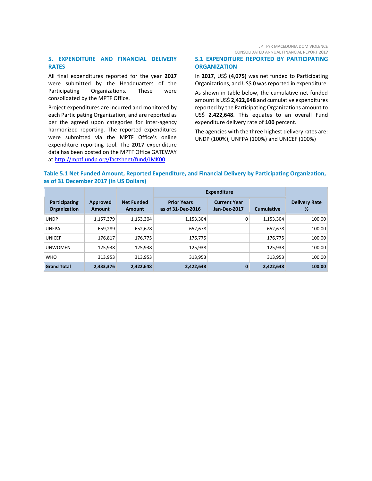#### **5. EXPENDITURE AND FINANCIAL DELIVERY RATES**

All final expenditures reported for the year **2017** were submitted by the Headquarters of the Participating Organizations. These were consolidated by the MPTF Office.

Project expenditures are incurred and monitored by each Participating Organization, and are reported as per the agreed upon categories for inter-agency harmonized reporting. The reported expenditures were submitted via the MPTF Office's online expenditure reporting tool. The **2017** expenditure data has been posted on the MPTF Office GATEWAY at [http://mptf.undp.org/factsheet/fund/JMK00.](http://mptf.undp.org/factsheet/fund/JMK00)

#### JP TFYR MACEDONIA DOM VIOLENCE CONSOLIDATED ANNUAL FINANCIAL REPORT **2017**

#### **5.1 EXPENDITURE REPORTED BY PARTICIPATING ORGANIZATION**

In **2017**, US\$ **(4,075)** was net funded to Participating Organizations, and US\$ **0** was reported in expenditure.

As shown in table below, the cumulative net funded amount is US\$ **2,422,648** and cumulative expenditures reported by the Participating Organizations amount to US\$ **2,422,648**. This equates to an overall Fund expenditure delivery rate of **100** percent.

The agencies with the three highest delivery rates are: UNDP (100%), UNFPA (100%) and UNICEF (100%)

#### **Table 5.1 Net Funded Amount, Reported Expenditure, and Financial Delivery by Participating Organization, as of 31 December 2017 (in US Dollars)**

|                               |                    |                             | <b>Expenditure</b>                      |                                     |                   |                           |
|-------------------------------|--------------------|-----------------------------|-----------------------------------------|-------------------------------------|-------------------|---------------------------|
| Participating<br>Organization | Approved<br>Amount | <b>Net Funded</b><br>Amount | <b>Prior Years</b><br>as of 31-Dec-2016 | <b>Current Year</b><br>Jan-Dec-2017 | <b>Cumulative</b> | <b>Delivery Rate</b><br>% |
| <b>UNDP</b>                   | 1,157,379          | 1,153,304                   | 1,153,304                               | 0                                   | 1,153,304         | 100.00                    |
| <b>UNFPA</b>                  | 659,289            | 652,678                     | 652,678                                 |                                     | 652,678           | 100.00                    |
| <b>UNICEF</b>                 | 176,817            | 176,775                     | 176,775                                 |                                     | 176,775           | 100.00                    |
| <b>UNWOMEN</b>                | 125.938            | 125,938                     | 125.938                                 |                                     | 125.938           | 100.00                    |
| <b>WHO</b>                    | 313,953            | 313,953                     | 313,953                                 |                                     | 313,953           | 100.00                    |
| <b>Grand Total</b>            | 2,433,376          | 2,422,648                   | 2,422,648                               | $\bf{0}$                            | 2,422,648         | 100.00                    |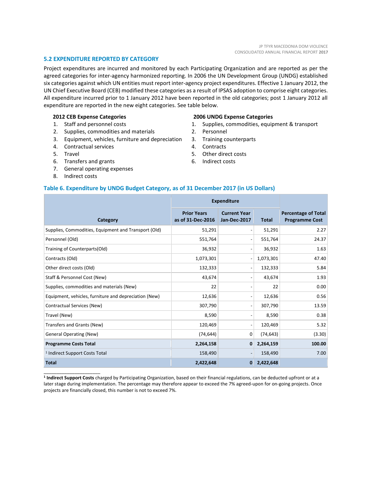#### **5.2 EXPENDITURE REPORTED BY CATEGORY**

Project expenditures are incurred and monitored by each Participating Organization and are reported as per the agreed categories for inter-agency harmonized reporting. In 2006 the UN Development Group (UNDG) established six categories against which UN entities must report inter-agency project expenditures. Effective 1 January 2012, the UN Chief Executive Board (CEB) modified these categories as a result of IPSAS adoption to comprise eight categories. All expenditure incurred prior to 1 January 2012 have been reported in the old categories; post 1 January 2012 all expenditure are reported in the new eight categories. See table below.

#### **2012 CEB Expense Categories**

- 1. Staff and personnel costs
- 2. Supplies, commodities and materials
- 3. Equipment, vehicles, furniture and depreciation
- 4. Contractual services
- 5. Travel
- 6. Transfers and grants
- 7. General operating expenses
- 8. Indirect costs

\_\_\_\_\_\_\_\_\_\_\_\_\_\_\_\_\_\_\_\_\_\_

#### **2006 UNDG Expense Categories**

- 1. Supplies, commodities, equipment & transport
- 2. Personnel
- 3. Training counterparts
- 4. Contracts
- 5. Other direct costs
- 6. Indirect costs

#### **Table 6. Expenditure by UNDG Budget Category, as of 31 December 2017 (in US Dollars)**

|                                                       | <b>Expenditure</b>                      |                                            |              |                                                     |
|-------------------------------------------------------|-----------------------------------------|--------------------------------------------|--------------|-----------------------------------------------------|
| Category                                              | <b>Prior Years</b><br>as of 31-Dec-2016 | <b>Current Year</b><br><b>Jan-Dec-2017</b> | <b>Total</b> | <b>Percentage of Total</b><br><b>Programme Cost</b> |
| Supplies, Commodities, Equipment and Transport (Old)  | 51,291                                  | ۰                                          | 51,291       | 2.27                                                |
| Personnel (Old)                                       | 551,764                                 | -                                          | 551,764      | 24.37                                               |
| Training of Counterparts(Old)                         | 36,932                                  | -                                          | 36,932       | 1.63                                                |
| Contracts (Old)                                       | 1,073,301                               | $\overline{\phantom{a}}$                   | 1,073,301    | 47.40                                               |
| Other direct costs (Old)                              | 132,333                                 | -                                          | 132,333      | 5.84                                                |
| Staff & Personnel Cost (New)                          | 43,674                                  | -                                          | 43,674       | 1.93                                                |
| Supplies, commodities and materials (New)             | 22                                      | -                                          | 22           | 0.00                                                |
| Equipment, vehicles, furniture and depreciation (New) | 12,636                                  | $\qquad \qquad$                            | 12,636       | 0.56                                                |
| Contractual Services (New)                            | 307,790                                 | ۰                                          | 307,790      | 13.59                                               |
| Travel (New)                                          | 8,590                                   | -                                          | 8,590        | 0.38                                                |
| Transfers and Grants (New)                            | 120,469                                 | $\overline{\phantom{a}}$                   | 120,469      | 5.32                                                |
| <b>General Operating (New)</b>                        | (74, 644)                               | 0                                          | (74, 643)    | (3.30)                                              |
| <b>Programme Costs Total</b>                          | 2,264,158                               | $\mathbf 0$                                | 2,264,159    | 100.00                                              |
| <sup>1</sup> Indirect Support Costs Total             | 158,490                                 | $\qquad \qquad \blacksquare$               | 158,490      | 7.00                                                |
| <b>Total</b>                                          | 2,422,648                               | $\mathbf{0}$                               | 2,422,648    |                                                     |

**1 Indirect Support Costs** charged by Participating Organization, based on their financial regulations, can be deducted upfront or at a later stage during implementation. The percentage may therefore appear to exceed the 7% agreed-upon for on-going projects. Once projects are financially closed, this number is not to exceed 7%.